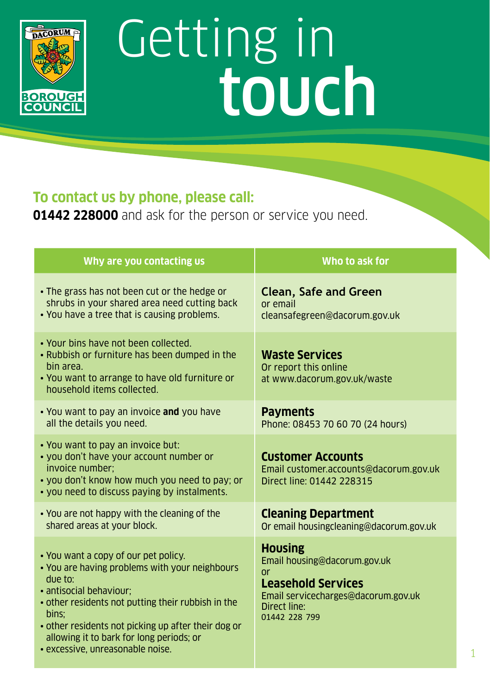

## Getting in touch

## **To contact us by phone, please call:**

**01442 228000** and ask for the person or service you need.

| Why are you contacting us                                                                                                                                                                                                                                                                                                          | Who to ask for                                                                                                                                            |
|------------------------------------------------------------------------------------------------------------------------------------------------------------------------------------------------------------------------------------------------------------------------------------------------------------------------------------|-----------------------------------------------------------------------------------------------------------------------------------------------------------|
| • The grass has not been cut or the hedge or<br>shrubs in your shared area need cutting back<br>. You have a tree that is causing problems.                                                                                                                                                                                        | <b>Clean, Safe and Green</b><br>or email<br>cleansafegreen@dacorum.gov.uk                                                                                 |
| . Your bins have not been collected.<br>. Rubbish or furniture has been dumped in the<br>bin area.<br>• You want to arrange to have old furniture or<br>household items collected.                                                                                                                                                 | <b>Waste Services</b><br>Or report this online<br>at www.dacorum.gov.uk/waste                                                                             |
| • You want to pay an invoice and you have<br>all the details you need.                                                                                                                                                                                                                                                             | <b>Payments</b><br>Phone: 08453 70 60 70 (24 hours)                                                                                                       |
| . You want to pay an invoice but:<br>• you don't have your account number or<br>invoice number:<br>. you don't know how much you need to pay; or<br>• you need to discuss paying by instalments.                                                                                                                                   | <b>Customer Accounts</b><br>Email customer.accounts@dacorum.gov.uk<br>Direct line: 01442 228315                                                           |
| . You are not happy with the cleaning of the<br>shared areas at your block.                                                                                                                                                                                                                                                        | <b>Cleaning Department</b><br>Or email housingcleaning@dacorum.gov.uk                                                                                     |
| . You want a copy of our pet policy.<br>. You are having problems with your neighbours<br>due to:<br>· antisocial behaviour;<br>• other residents not putting their rubbish in the<br>bins:<br>• other residents not picking up after their dog or<br>allowing it to bark for long periods; or<br>· excessive, unreasonable noise. | <b>Housing</b><br>Email housing@dacorum.gov.uk<br>or<br><b>Leasehold Services</b><br>Email servicecharges@dacorum.gov.uk<br>Direct line:<br>01442 228 799 |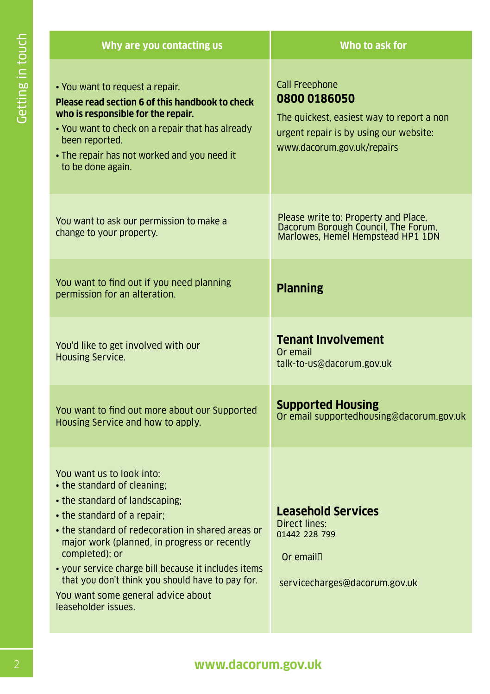| Getting in touch |                    | Why are you contacting us                                                                                                                                                                                                                                                                                                                                                                                                 | Who to ask for                                                                                                                                             |
|------------------|--------------------|---------------------------------------------------------------------------------------------------------------------------------------------------------------------------------------------------------------------------------------------------------------------------------------------------------------------------------------------------------------------------------------------------------------------------|------------------------------------------------------------------------------------------------------------------------------------------------------------|
|                  |                    | • You want to request a repair.<br>Please read section 6 of this handbook to check<br>who is responsible for the repair.<br>. You want to check on a repair that has already<br>been reported.<br>• The repair has not worked and you need it<br>to be done again.                                                                                                                                                        | <b>Call Freephone</b><br>0800 0186050<br>The quickest, easiest way to report a non<br>urgent repair is by using our website:<br>www.dacorum.gov.uk/repairs |
|                  |                    | You want to ask our permission to make a<br>change to your property.                                                                                                                                                                                                                                                                                                                                                      | Please write to: Property and Place,<br>Dacorum Borough Council, The Forum,<br>Marlowes, Hemel Hempstead HP1 1DN                                           |
|                  |                    | You want to find out if you need planning<br>permission for an alteration.                                                                                                                                                                                                                                                                                                                                                | <b>Planning</b>                                                                                                                                            |
|                  |                    | You'd like to get involved with our<br><b>Housing Service.</b>                                                                                                                                                                                                                                                                                                                                                            | <b>Tenant Involvement</b><br>Or email<br>talk-to-us@dacorum.gov.uk                                                                                         |
|                  |                    | You want to find out more about our Supported<br>Housing Service and how to apply.                                                                                                                                                                                                                                                                                                                                        | <b>Supported Housing</b><br>Or email supportedhousing@dacorum.gov.uk                                                                                       |
|                  |                    | You want us to look into:<br>• the standard of cleaning;<br>• the standard of landscaping;<br>• the standard of a repair;<br>• the standard of redecoration in shared areas or<br>major work (planned, in progress or recently<br>completed); or<br>· your service charge bill because it includes items<br>that you don't think you should have to pay for.<br>You want some general advice about<br>leaseholder issues. | <b>Leasehold Services</b><br>Direct lines:<br>01442 228 799<br>Or email<br>servicecharges@dacorum.gov.uk                                                   |
|                  | www.dacorum.gov.uk |                                                                                                                                                                                                                                                                                                                                                                                                                           |                                                                                                                                                            |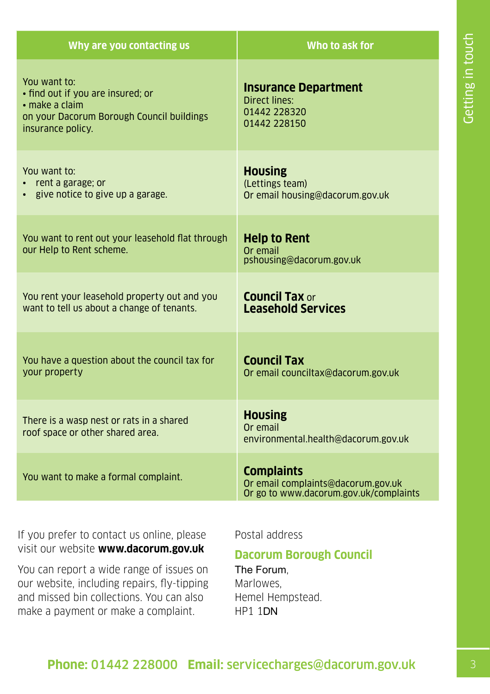| Why are you contacting us                                                                                                                   | Who to ask for                                                                                    |
|---------------------------------------------------------------------------------------------------------------------------------------------|---------------------------------------------------------------------------------------------------|
| You want to:<br>· find out if you are insured; or<br>$\cdot$ make a claim<br>on your Dacorum Borough Council buildings<br>insurance policy. | <b>Insurance Department</b><br>Direct lines:<br>01442 228320<br>01442 228150                      |
| You want to:<br>$\cdot$ rent a garage; or<br>• give notice to give up a garage.                                                             | <b>Housing</b><br>(Lettings team)<br>Or email housing@dacorum.gov.uk                              |
| You want to rent out your leasehold flat through<br>our Help to Rent scheme.                                                                | <b>Help to Rent</b><br>Or email<br>pshousing@dacorum.gov.uk                                       |
| You rent your leasehold property out and you<br>want to tell us about a change of tenants.                                                  | <b>Council Tax or</b><br><b>Leasehold Services</b>                                                |
| You have a question about the council tax for<br>your property                                                                              | <b>Council Tax</b><br>Or email counciltax@dacorum.gov.uk                                          |
| There is a wasp nest or rats in a shared<br>roof space or other shared area.                                                                | <b>Housing</b><br>Or email<br>environmental.health@dacorum.gov.uk                                 |
| You want to make a formal complaint.                                                                                                        | <b>Complaints</b><br>Or email complaints@dacorum.gov.uk<br>Or go to www.dacorum.gov.uk/complaints |

Getting in touch 3Getting in touch

If you prefer to contact us online, please visit our website **www.dacorum.gov.uk**

You can report a wide range of issues on our website, including repairs, fly-tipping and missed bin collections. You can also make a payment or make a complaint.

Postal address

## **Dacorum Borough Council**

The Forum, Marlowes, Hemel Hempstead. HP1 1DN